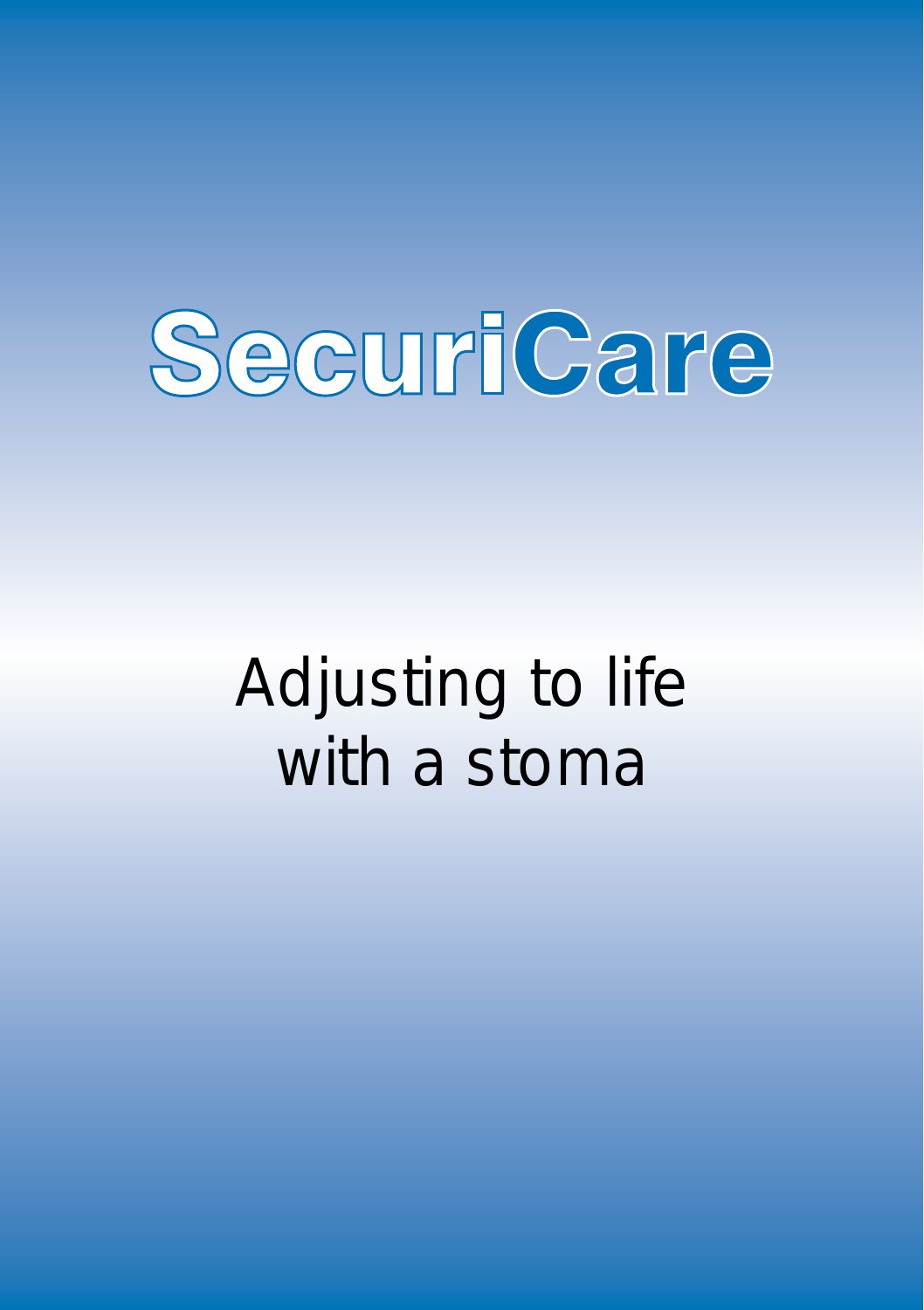

# Adjusting to life with a stoma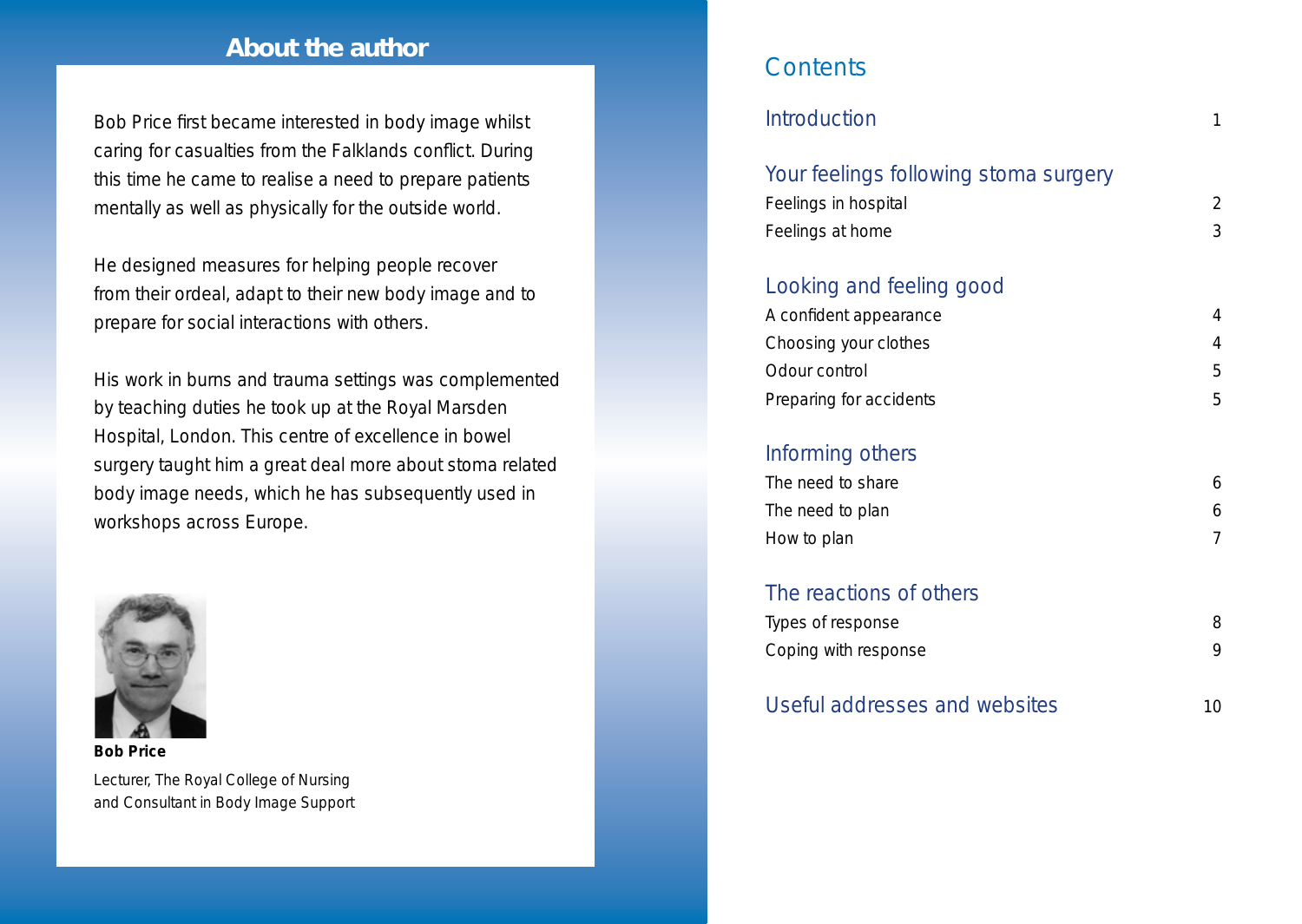### **About the author**

Bob Price first became interested in body image whilst caring for casualties from the Falklands conflict. During this time he came to realise a need to prepare patients mentally as well as physically for the outside world.

He designed measures for helping people recover from their ordeal, adapt to their new body image and to prepare for social interactions with others.

His work in burns and trauma settings was complemented by teaching duties he took up at the Royal Marsden Hospital, London. This centre of excellence in bowel surgery taught him a great deal more about stoma related body image needs, which he has subsequently used in workshops across Europe.



**Bob Price** Lecturer, The Royal College of Nursing and Consultant in Body Image Support

### **Contents**

| Introduction                                                                      | 1                   |
|-----------------------------------------------------------------------------------|---------------------|
| Your feelings following stoma surgery<br>Feelings in hospital<br>Feelings at home | $\overline{2}$<br>3 |
| Looking and feeling good                                                          |                     |
| A confident appearance                                                            | 4                   |
| Choosing your clothes                                                             | 4                   |
| Odour control                                                                     | 5                   |
| Preparing for accidents                                                           | 5                   |
| Informing others                                                                  |                     |
| The need to share                                                                 | 6                   |
| The need to plan                                                                  | 6                   |
| How to plan                                                                       | 7                   |
| The reactions of others                                                           |                     |
| Types of response                                                                 | 8                   |
| Coping with response                                                              | 9                   |
| Useful addresses and websites                                                     | 10                  |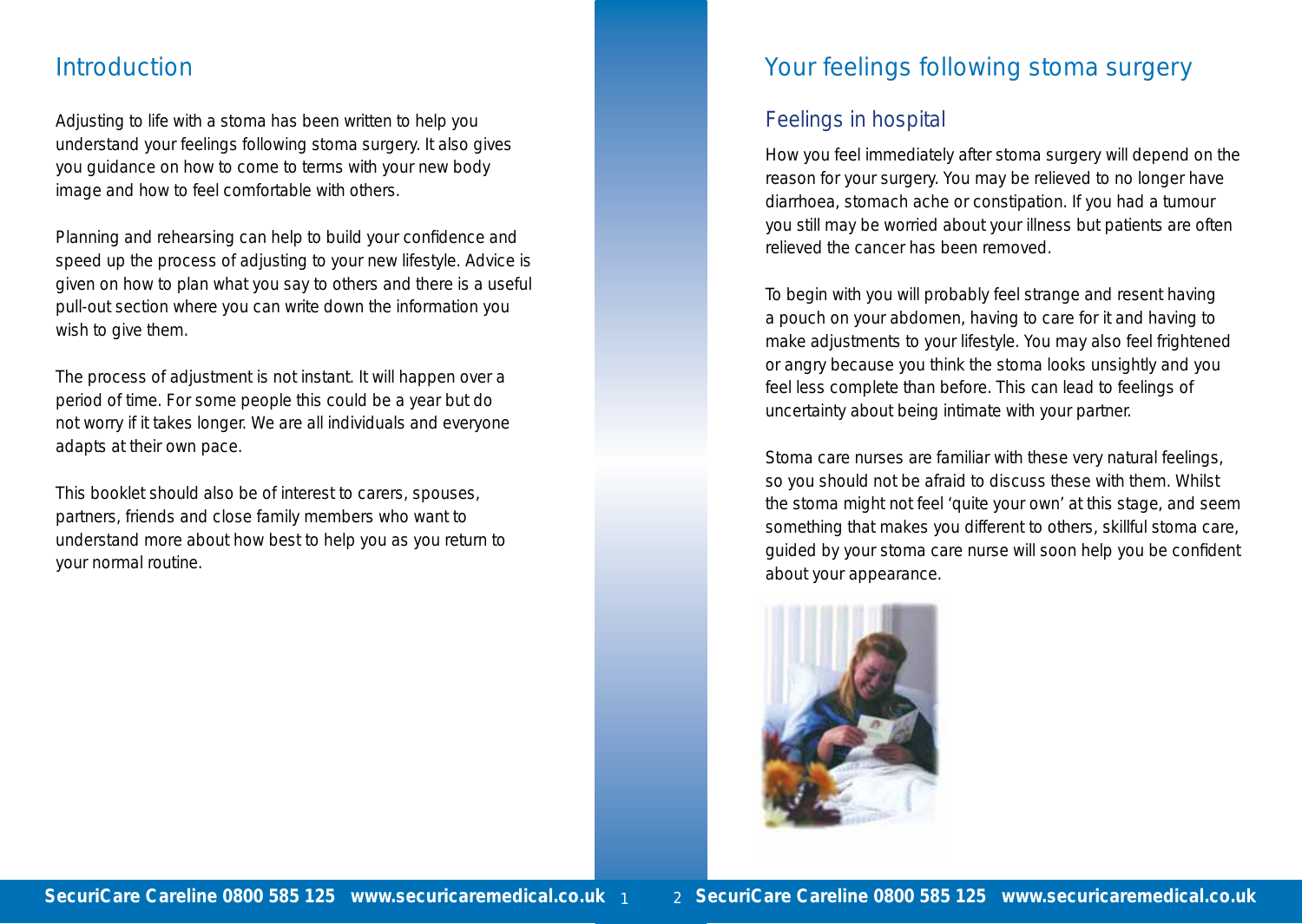# **Introduction**

Adjusting to life with a stoma has been written to help you understand your feelings following stoma surgery. It also gives you guidance on how to come to terms with your new body image and how to feel comfortable with others.

Planning and rehearsing can help to build your confidence and speed up the process of adjusting to your new lifestyle. Advice is given on how to plan what you say to others and there is a useful pull-out section where you can write down the information you wish to give them.

The process of adjustment is not instant. It will happen over a period of time. For some people this could be a year but do not worry if it takes longer. We are all individuals and everyone adapts at their own pace.

This booklet should also be of interest to carers, spouses, partners, friends and close family members who want to understand more about how best to help you as you return to your normal routine.

# Your feelings following stoma surgery

# Feelings in hospital

How you feel immediately after stoma surgery will depend on the reason for your surgery. You may be relieved to no longer have diarrhoea, stomach ache or constipation. If you had a tumour you still may be worried about your illness but patients are often relieved the cancer has been removed.

To begin with you will probably feel strange and resent having a pouch on your abdomen, having to care for it and having to make adjustments to your lifestyle. You may also feel frightened or angry because you think the stoma looks unsightly and you feel less complete than before. This can lead to feelings of uncertainty about being intimate with your partner.

Stoma care nurses are familiar with these very natural feelings, so you should not be afraid to discuss these with them. Whilst the stoma might not feel 'quite your own' at this stage, and seem something that makes you different to others, skillful stoma care, guided by your stoma care nurse will soon help you be confident about your appearance.

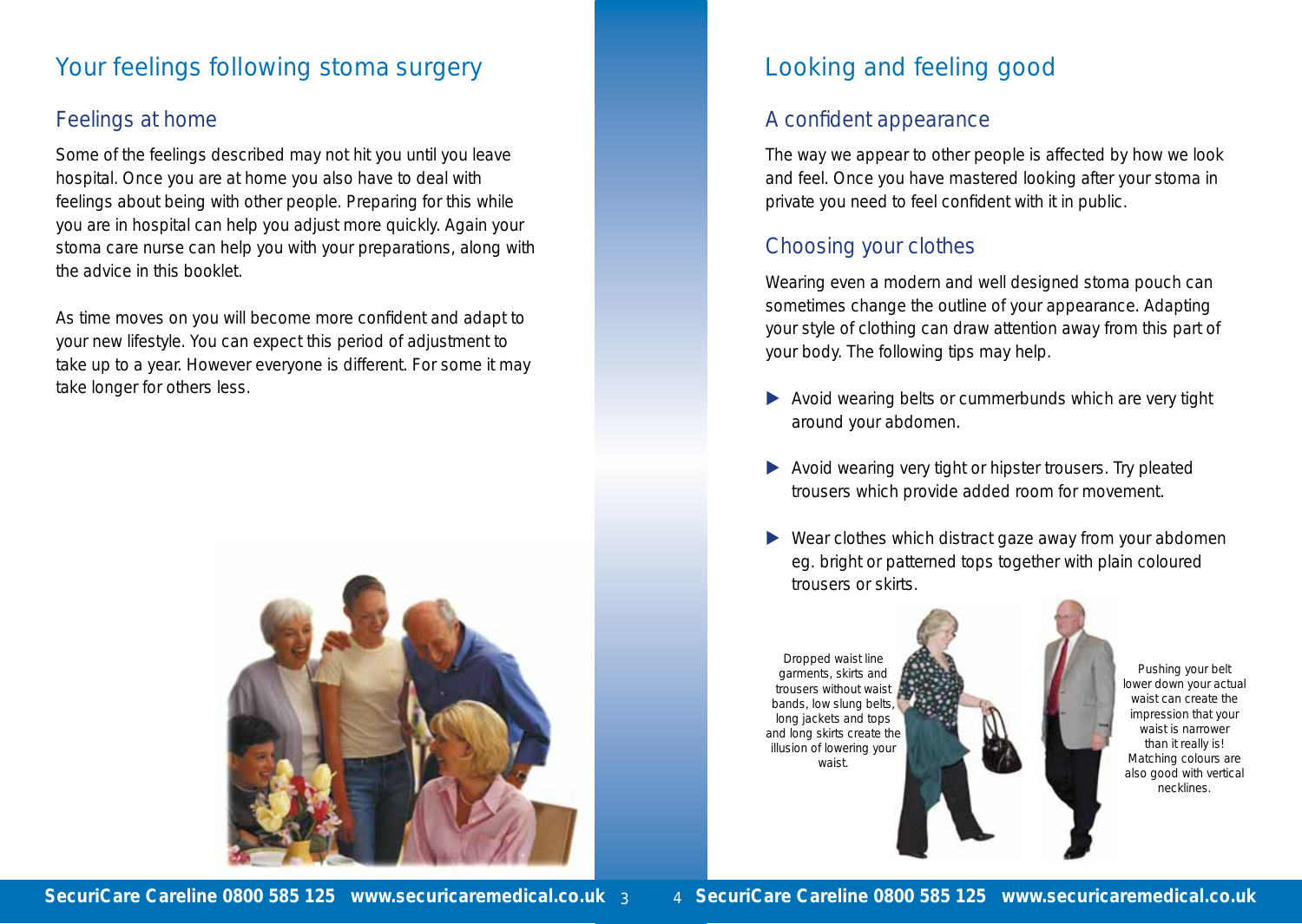# Your feelings following stoma surgery

### Feelings at home

Some of the feelings described may not hit you until you leave hospital. Once you are at home you also have to deal with feelings about being with other people. Preparing for this while you are in hospital can help you adjust more quickly. Again your stoma care nurse can help you with your preparations, along with the advice in this booklet.

As time moves on you will become more confident and adapt to your new lifestyle. You can expect this period of adjustment to take up to a year. However everyone is different. For some it may take longer for others less.



# Looking and feeling good

### A confident appearance

The way we appear to other people is affected by how we look and feel. Once you have mastered looking after your stoma in private you need to feel confident with it in public.

# Choosing your clothes

Wearing even a modern and well designed stoma pouch can sometimes change the outline of your appearance. Adapting your style of clothing can draw attention away from this part of your body. The following tips may help.

- $\blacktriangleright$  Avoid wearing belts or cummerbunds which are very tight around your abdomen.
- Avoid wearing very tight or hipster trousers. Try pleated trousers which provide added room for movement.
- $\blacktriangleright$  Wear clothes which distract gaze away from your abdomen eg. bright or patterned tops together with plain coloured trousers or skirts.



Pushing your belt lower down your actual waist can create the impression that your waist is narrower than it really is! Matching colours are also good with vertical necklines.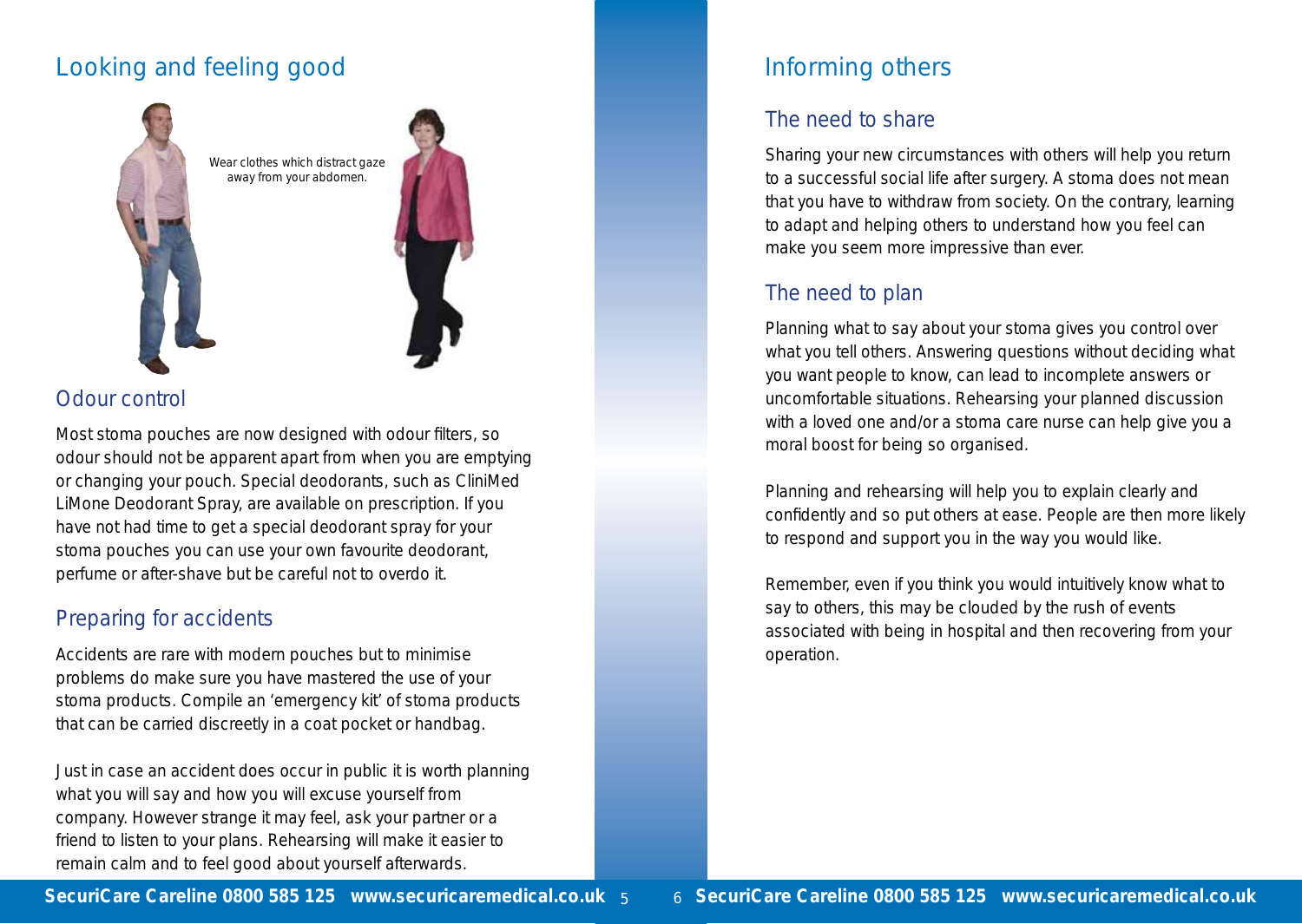# Looking and feeling good





### Odour control

Most stoma pouches are now designed with odour filters, so odour should not be apparent apart from when you are emptying or changing your pouch. Special deodorants, such as CliniMed LiMone Deodorant Spray, are available on prescription. If you have not had time to get a special deodorant spray for your stoma pouches you can use your own favourite deodorant, perfume or after-shave but be careful not to overdo it.

### Preparing for accidents

Accidents are rare with modern pouches but to minimise problems do make sure you have mastered the use of your stoma products. Compile an 'emergency kit' of stoma products that can be carried discreetly in a coat pocket or handbag.

Just in case an accident does occur in public it is worth planning what you will say and how you will excuse yourself from company. However strange it may feel, ask your partner or a friend to listen to your plans. Rehearsing will make it easier to remain calm and to feel good about yourself afterwards.

# Informing others

# The need to share

Sharing your new circumstances with others will help you return to a successful social life after surgery. A stoma does not mean that you have to withdraw from society. On the contrary, learning to adapt and helping others to understand how you feel can make you seem more impressive than ever.

# The need to plan

Planning what to say about your stoma gives you control over what you tell others. Answering questions without deciding what you want people to know, can lead to incomplete answers or uncomfortable situations. Rehearsing your planned discussion with a loved one and/or a stoma care nurse can help give you a moral boost for being so organised.

Planning and rehearsing will help you to explain clearly and confidently and so put others at ease. People are then more likely to respond and support you in the way you would like.

Remember, even if you think you would intuitively know what to say to others, this may be clouded by the rush of events associated with being in hospital and then recovering from your operation.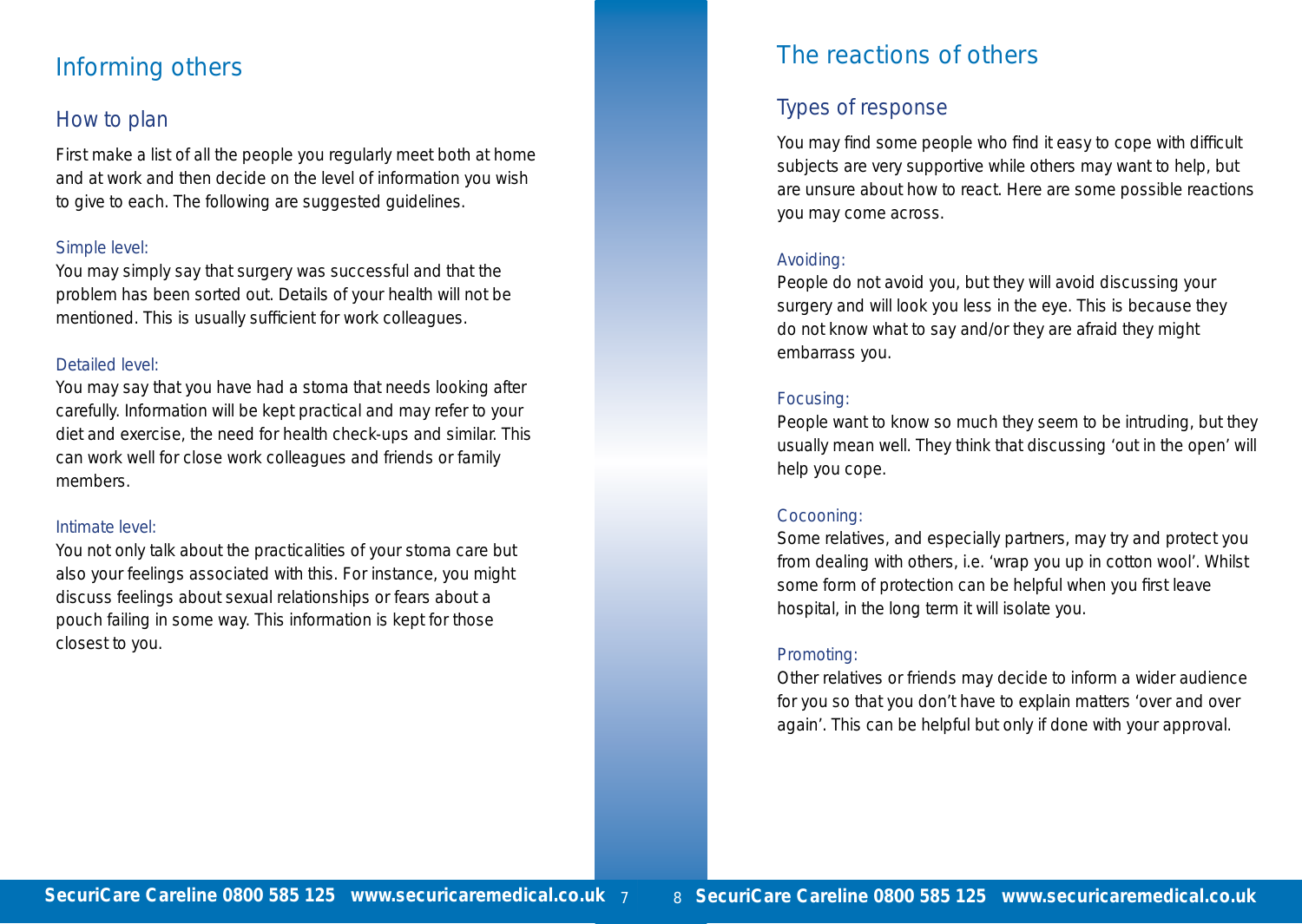# Informing others

### How to plan

First make a list of all the people you regularly meet both at home and at work and then decide on the level of information you wish to give to each. The following are suggested guidelines.

#### Simple level:

You may simply say that surgery was successful and that the problem has been sorted out. Details of your health will not be mentioned. This is usually sufficient for work colleagues.

#### Detailed level:

You may say that you have had a stoma that needs looking after carefully. Information will be kept practical and may refer to your diet and exercise, the need for health check-ups and similar. This can work well for close work colleagues and friends or family members.

#### Intimate level:

You not only talk about the practicalities of your stoma care but also your feelings associated with this. For instance, you might discuss feelings about sexual relationships or fears about a pouch failing in some way. This information is kept for those closest to you.

# The reactions of others

# Types of response

You may find some people who find it easy to cope with difficult subjects are very supportive while others may want to help, but are unsure about how to react. Here are some possible reactions you may come across.

#### Avoiding:

People do not avoid you, but they will avoid discussing your surgery and will look you less in the eye. This is because they do not know what to say and/or they are afraid they might embarrass you.

#### Focusing:

People want to know so much they seem to be intruding, but they usually mean well. They think that discussing 'out in the open' will help you cope.

#### Cocooning:

Some relatives, and especially partners, may try and protect you from dealing with others, i.e. 'wrap you up in cotton wool'. Whilst some form of protection can be helpful when you first leave hospital, in the long term it will isolate you.

#### Promoting:

Other relatives or friends may decide to inform a wider audience for you so that you don't have to explain matters 'over and over again'. This can be helpful but only if done with your approval.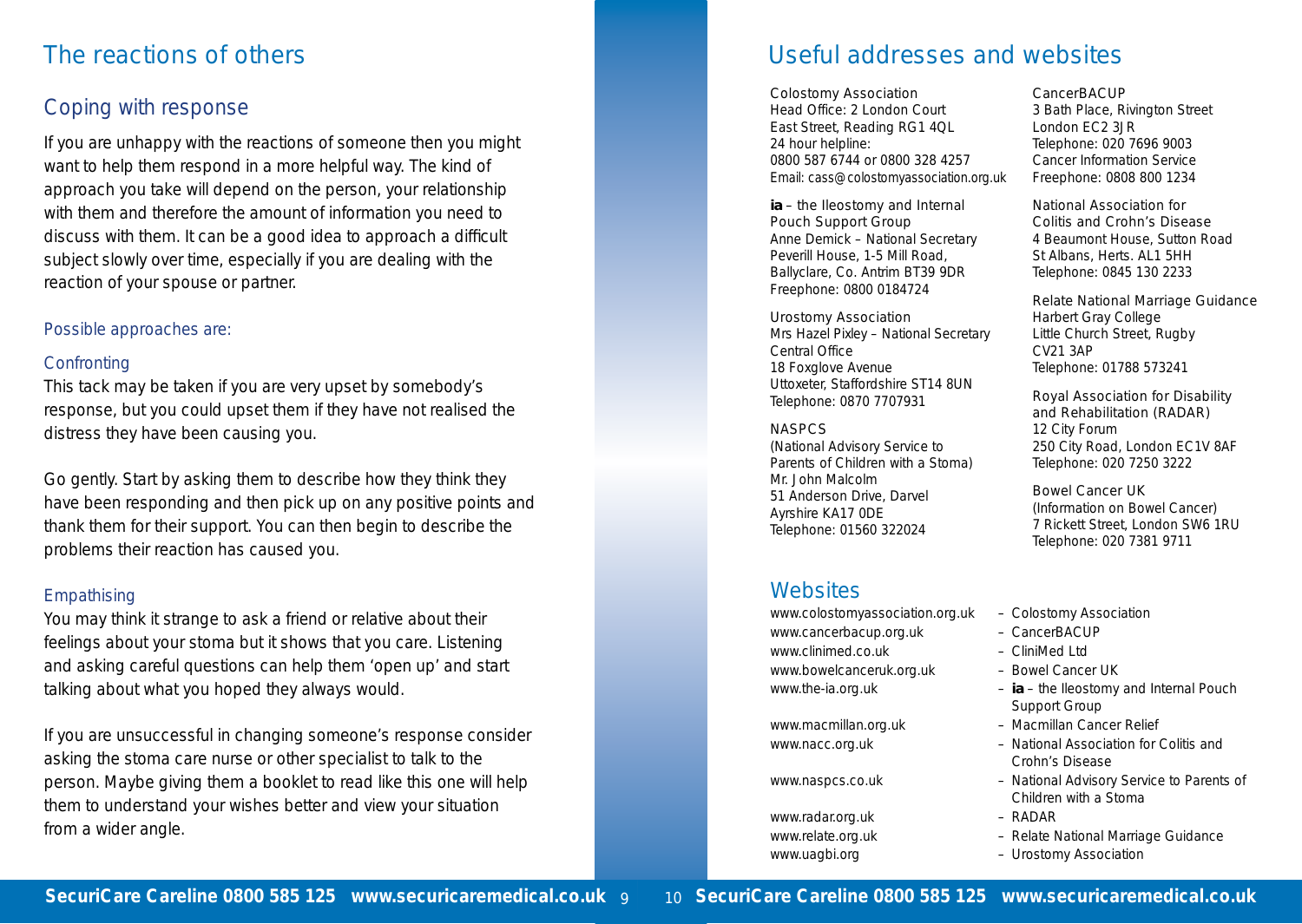# The reactions of others

# Coping with response

If you are unhappy with the reactions of someone then you might want to help them respond in a more helpful way. The kind of approach you take will depend on the person, your relationship with them and therefore the amount of information you need to discuss with them. It can be a good idea to approach a difficult subject slowly over time, especially if you are dealing with the reaction of your spouse or partner.

#### Possible approaches are:

#### **Confronting**

This tack may be taken if you are very upset by somebody's response, but you could upset them if they have not realised the distress they have been causing you.

Go gently. Start by asking them to describe how they think they have been responding and then pick up on any positive points and thank them for their support. You can then begin to describe the problems their reaction has caused you.

#### **Empathising**

You may think it strange to ask a friend or relative about their feelings about your stoma but it shows that you care. Listening and asking careful questions can help them 'open up' and start talking about what you hoped they always would.

If you are unsuccessful in changing someone's response consider asking the stoma care nurse or other specialist to talk to the person. Maybe giving them a booklet to read like this one will help them to understand your wishes better and view your situation from a wider angle.

# Useful addresses and websites

#### Colostomy Association

Head Office: 2 London Court East Street, Reading RG1 4QL 24 hour helpline: 0800 587 6744 or 0800 328 4257 Email: cass@colostomyassociation.org.uk

#### *ia* – the Ileostomy and Internal Pouch Support Group

Anne Demick – National Secretary Peverill House, 1-5 Mill Road, Ballyclare, Co. Antrim BT39 9DR Freephone: 0800 0184724

#### Urostomy Association

Mrs Hazel Pixley – National Secretary Central Office 18 Foxglove Avenue Uttoxeter, Staffordshire ST14 8UN Telephone: 0870 7707931

#### **NASPCS**

(National Advisory Service to Parents of Children with a Stoma) Mr. John Malcolm 51 Anderson Drive, Darvel Ayrshire KA17 0DE Telephone: 01560 322024

### **Websites**

www.colostomyassociation.org.uk – Colostomy Association www.cancerbacup.org.uk - CancerBACUP www.clinimed.co.uk – CliniMed Ltd www.bowelcanceruk.org.uk - Bowel Cancer UK

www.radar.org.uk – RADAR

#### CancerBACUP

3 Bath Place, Rivington Street London EC2 3JR Telephone: 020 7696 9003 Cancer Information Service Freephone: 0808 800 1234

#### National Association for Colitis and Crohn's Disease

4 Beaumont House, Sutton Road St Albans, Herts. AL1 5HH Telephone: 0845 130 2233

#### Relate National Marriage Guidance

Harbert Gray College Little Church Street, Rugby CV21 3AP Telephone: 01788 573241

#### Royal Association for Disability and Rehabilitation (RADAR) 12 City Forum 250 City Road, London EC1V 8AF Telephone: 020 7250 3222

Bowel Cancer UK (Information on Bowel Cancer) 7 Rickett Street, London SW6 1RU Telephone: 020 7381 9711

- 
- 
- 
- 
- www.the-ia.org.uk *ia* the Ileostomy and Internal Pouch Support Group
- www.macmillan.org.uk Macmillan Cancer Relief
- www.nacc.org.uk National Association for Colitis and Crohn's Disease
- www.naspcs.co.uk National Advisory Service to Parents of Children with a Stoma
	-
- www.relate.org.uk Relate National Marriage Guidance
- www.uagbi.org Urostomy Association